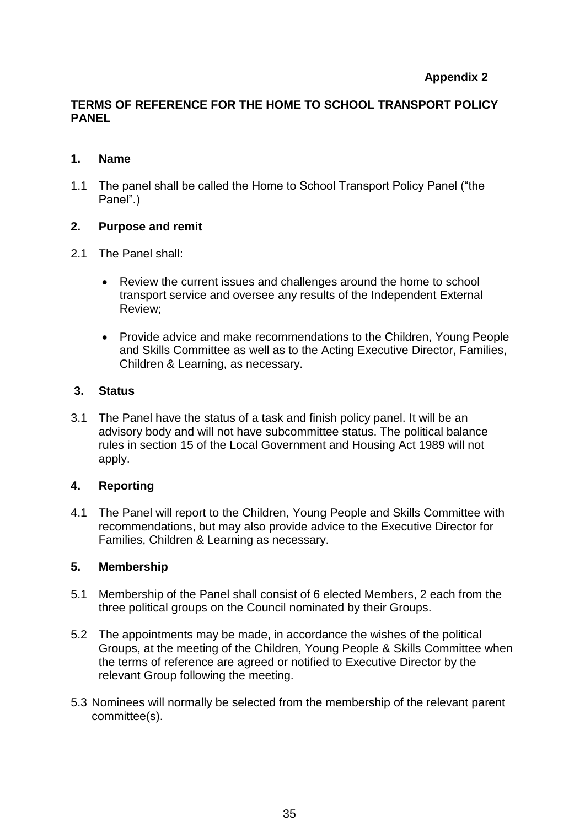# **Appendix 2**

## **TERMS OF REFERENCE FOR THE HOME TO SCHOOL TRANSPORT POLICY PANEL**

### **1. Name**

1.1 The panel shall be called the Home to School Transport Policy Panel ("the Panel".)

### **2. Purpose and remit**

- 2.1 The Panel shall:
	- Review the current issues and challenges around the home to school transport service and oversee any results of the Independent External Review;
	- Provide advice and make recommendations to the Children, Young People and Skills Committee as well as to the Acting Executive Director, Families, Children & Learning, as necessary.

### **3. Status**

3.1 The Panel have the status of a task and finish policy panel. It will be an advisory body and will not have subcommittee status. The political balance rules in section 15 of the Local Government and Housing Act 1989 will not apply.

### **4. Reporting**

4.1 The Panel will report to the Children, Young People and Skills Committee with recommendations, but may also provide advice to the Executive Director for Families, Children & Learning as necessary.

### **5. Membership**

- 5.1 Membership of the Panel shall consist of 6 elected Members, 2 each from the three political groups on the Council nominated by their Groups.
- 5.2 The appointments may be made, in accordance the wishes of the political Groups, at the meeting of the Children, Young People & Skills Committee when the terms of reference are agreed or notified to Executive Director by the relevant Group following the meeting.
- 5.3 Nominees will normally be selected from the membership of the relevant parent committee(s).